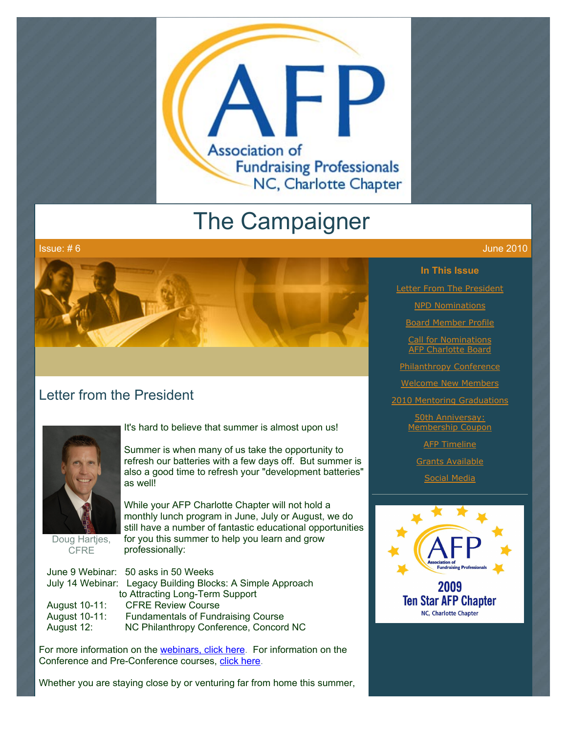

# The Campaigner



### Letter from the President



It's hard to believe that summer is almost upon us!

Summer is when many of us take the opportunity to refresh our batteries with a few days off. But summer is also a good time to refresh your "development batteries" as well!

Doug Hartjes, **CFRE** 

While your AFP Charlotte Chapter will not hold a monthly lunch program in June, July or August, we do still have a number of fantastic educational opportunities for you this summer to help you learn and grow professionally:

|                                 | June 9 Webinar: 50 asks in 50 Weeks                        |
|---------------------------------|------------------------------------------------------------|
|                                 | July 14 Webinar: Legacy Building Blocks: A Simple Approach |
| to Attracting Long-Term Support |                                                            |
| August 10-11:                   | <b>CFRE Review Course</b>                                  |
| August 10-11:                   | <b>Fundamentals of Fundraising Course</b>                  |
| August 12:                      | NC Philanthropy Conference, Concord NC                     |

For more information on the [webinars, click here.](http://www.afp-charlotte.org/rsvp.html) For information on the Conference and Pre-Conference courses, [click here.](http://www.ncphilanthropyconference.org/pre_conferencecourses.html)

Whether you are staying close by or venturing far from home this summer,

**In This Issue**

**[Letter From The President](http://archive.constantcontact.com/fs051/1101610725496/archive/1103420588447.html#LETTER.BLOCK6)** 

[NPD Nominations](http://archive.constantcontact.com/fs051/1101610725496/archive/1103420588447.html#LETTER.BLOCK7)

[Board Member Profile](http://archive.constantcontact.com/fs051/1101610725496/archive/1103420588447.html#LETTER.BLOCK9)

[Call for Nominations](http://archive.constantcontact.com/fs051/1101610725496/archive/1103420588447.html#LETTER.BLOCK43) AFP Charlotte Board

[Philanthropy Conference](http://archive.constantcontact.com/fs051/1101610725496/archive/1103420588447.html#LETTER.BLOCK22)

[Welcome New Members](http://archive.constantcontact.com/fs051/1101610725496/archive/1103420588447.html#LETTER.BLOCK11)

[2010 Mentoring Graduations](http://archive.constantcontact.com/fs051/1101610725496/archive/1103420588447.html#LETTER.BLOCK14)

50th Anniversay: [Membership Coupon](http://archive.constantcontact.com/fs051/1101610725496/archive/1103420588447.html#LETTER.BLOCK16)

**[AFP Timeline](http://archive.constantcontact.com/fs051/1101610725496/archive/1103420588447.html#LETTER.BLOCK18)** 

[Grants Available](http://archive.constantcontact.com/fs051/1101610725496/archive/1103420588447.html#LETTER.BLOCK20)

[Social Media](http://archive.constantcontact.com/fs051/1101610725496/archive/1103420588447.html#LETTER.BLOCK24)

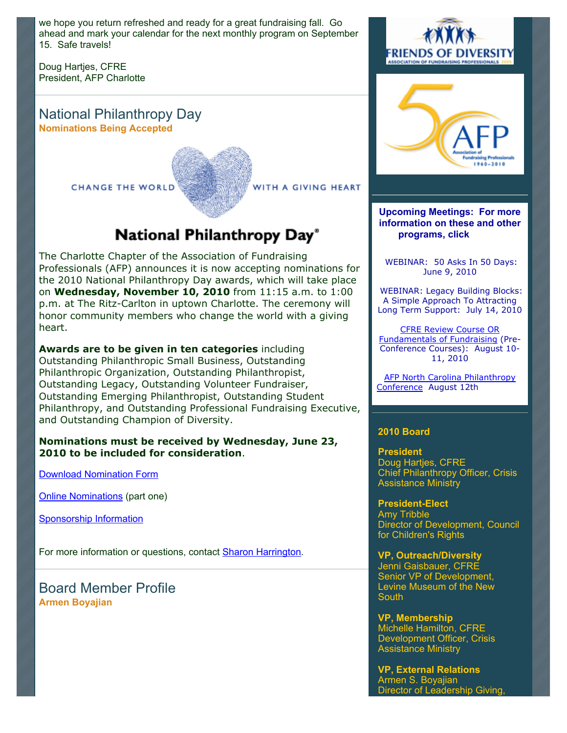we hope you return refreshed and ready for a great fundraising fall. Go ahead and mark your calendar for the next monthly program on September 15. Safe travels!

Doug Hartjes, CFRE President, AFP Charlotte

National Philanthropy Day **Nominations Being Accepted**

**CHANGE THE WORLD** 

VITH A GIVING HEART

## National Philanthropy Day<sup>®</sup>

The Charlotte Chapter of the Association of Fundraising Professionals (AFP) announces it is now accepting nominations for the 2010 National Philanthropy Day awards, which will take place on **Wednesday, November 10, 2010** from 11:15 a.m. to 1:00 p.m. at The Ritz-Carlton in uptown Charlotte. The ceremony will honor community members who change the world with a giving heart.

**Awards are to be given in ten categories** including Outstanding Philanthropic Small Business, Outstanding Philanthropic Organization, Outstanding Philanthropist, Outstanding Legacy, Outstanding Volunteer Fundraiser, Outstanding Emerging Philanthropist, Outstanding Student Philanthropy, and Outstanding Professional Fundraising Executive, and Outstanding Champion of Diversity.

#### **Nominations must be received by Wednesday, June 23, 2010 to be included for consideration**.

[Download Nomination Form](http://www.afp-charlotte.org/customers/102012921065393/filemanager/2010_NPD_Nomination_Form.pdf)

[Online Nominations](http://www.afp-charlotte.org/onlineform.html) (part one)

**[Sponsorship Information](http://www.afp-charlotte.org/customers/102012921065393/filemanager/2010_Sponsorship_Form.pdf)** 

For more information or questions, contact [Sharon Harrington.](mailto:scharrin@uncc.edu)

Board Member Profile **Armen Boyajian**





**Upcoming Meetings: For more information on these and other programs, click** 

 WEBINAR: 50 Asks In 50 Days: June 9, 2010

 WEBINAR: Legacy Building Blocks: A Simple Approach To Attracting Long Term Support: July 14, 2010

CFRE Review Course OR [Fundamentals of Fundraising](http://www.ncphilanthropyconference.org/pre_conferencecourses.html) (Pre-Conference Courses): August 10- 11, 2010

**AFP North Carolina Philanthropy** Conference August 12th

#### **2010 Board**

**President** Doug Hartjes, CFRE Chief Philanthropy Officer, Crisis Assistance Ministry

**President-Elect**  Amy Tribble Director of Development, Council for Children's Rights

**VP, Outreach/Diversity** Jenni Gaisbauer, CFRE Senior VP of Development, Levine Museum of the New **South** 

**VP, Membership** Michelle Hamilton, CFRE Development Officer, Crisis Assistance Ministry

**VP, External Relations** Armen S. Boyajian Director of Leadership Giving,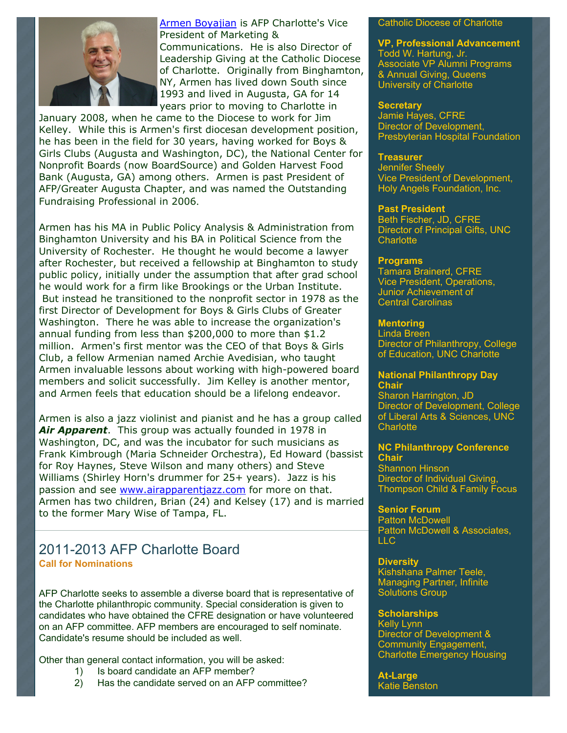

Armen Boyajian is AFP Charlotte's Vice [President of Mar](mailto:asboyajian@CharlotteDiocese.org)keting & Communications. He is also Director of Leadership Giving at the Catholic Diocese of Charlotte. Originally from Binghamton, NY, Armen has lived down South since 1993 and lived in Augusta, GA for 14 years prior to moving to Charlotte in

January 2008, when he came to the Diocese to work for Jim Kelley. While this is Armen's first diocesan development position, he has been in the field for 30 years, having worked for Boys & Girls Clubs (Augusta and Washington, DC), the National Center for Nonprofit Boards (now BoardSource) and Golden Harvest Food Bank (Augusta, GA) among others. Armen is past President of AFP/Greater Augusta Chapter, and was named the Outstanding Fundraising Professional in 2006.

Armen has his MA in Public Policy Analysis & Administration from Binghamton University and his BA in Political Science from the University of Rochester. He thought he would become a lawyer after Rochester, but received a fellowship at Binghamton to study public policy, initially under the assumption that after grad school he would work for a firm like Brookings or the Urban Institute. But instead he transitioned to the nonprofit sector in 1978 as the first Director of Development for Boys & Girls Clubs of Greater Washington. There he was able to increase the organization's annual funding from less than \$200,000 to more than \$1.2 million. Armen's first mentor was the CEO of that Boys & Girls Club, a fellow Armenian named Archie Avedisian, who taught Armen invaluable lessons about working with high-powered board members and solicit successfully. Jim Kelley is another mentor, and Armen feels that education should be a lifelong endeavor.

Armen is also a jazz violinist and pianist and he has a group called *Air Apparent*. This group was actually founded in 1978 in Washington, DC, and was the incubator for such musicians as Frank Kimbrough (Maria Schneider Orchestra), Ed Howard (bassist for Roy Haynes, Steve Wilson and many others) and Steve Williams (Shirley Horn's drummer for 25+ years). Jazz is his passion and see [www.airapparentjazz.com](http://www.airapparentjazz.com/) for more on that. Armen has two children, Brian (24) and Kelsey (17) and is married to the former Mary Wise of Tampa, FL.

### 2011-2013 AFP Charlotte Board **Call for Nominations**

AFP Charlotte seeks to assemble a diverse board that is representative of the Charlotte philanthropic community. Special consideration is given to candidates who have obtained the CFRE designation or have volunteered on an AFP committee. AFP members are encouraged to self nominate. Candidate's resume should be included as well.

Other than general contact information, you will be asked:

- 1) Is board candidate an AFP member?
- 2) Has the candidate served on an AFP committee?

#### Catholic Diocese of Charlotte

**VP, Professional Advancement** Todd W. Hartung, Jr. Associate VP Alumni Programs & Annual Giving, Queens University of Charlotte

#### **Secretary**

Jamie Hayes, CFRE Director of Development, Presbyterian Hospital Foundation

#### **Treasurer**

Jennifer Sheely Vice President of Development, Holy Angels Foundation, Inc.

#### **Past President**

Beth Fischer, JD, CFRE Director of Principal Gifts, UNC **Charlotte** 

#### **Programs**

Tamara Brainerd, CFRE Vice President, Operations, Junior Achievement of Central Carolinas

#### **Mentoring**

Linda Breen Director of Philanthropy, College of Education, UNC Charlotte

#### **National Philanthropy Day Chair**

Sharon Harrington, JD Director of Development, College of Liberal Arts & Sciences, UNC **Charlotte** 

#### **NC Philanthropy Conference Chair**

Shannon Hinson Director of Individual Giving, Thompson Child & Family Focus

#### **Senior Forum**

Patton McDowell Patton McDowell & Associates, LLC

#### **Diversity**

Kishshana Palmer Teele, Managing Partner, Infinite Solutions Group

#### **Scholarships**

Kelly Lynn Director of Development & Community Engagement, Charlotte Emergency Housing

**At-Large** Katie Benston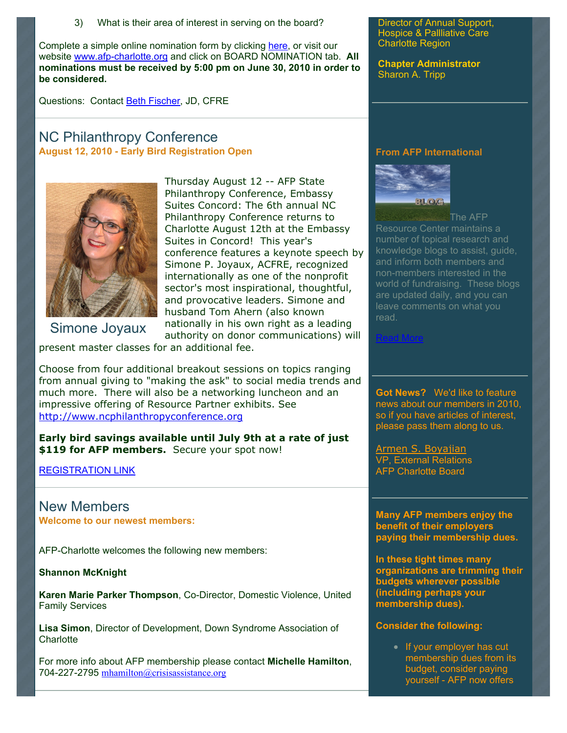3) What is their area of interest in serving on the board?

Complete a simple online nomination form by clicking [here,](http://www.afp-charlotte.org/boardnominations.html) or visit our website [www.afp-charlotte.org](http://www.afp-charlotte.org/) and click on BOARD NOMINATION tab. **All nominations must be received by 5:00 pm on June 30, 2010 in order to be considered.**

Questions: Contact [Beth Fischer,](mailto:beth.fischer@uncc.edu) JD, CFRE

### NC Philanthropy Conference **August 12, 2010 - Early Bird Registration Open**



Thursday August 12 -- AFP State Philanthropy Conference, Embassy Suites Concord: The 6th annual NC Philanthropy Conference returns to Charlotte August 12th at the Embassy Suites in Concord! This year's conference features a keynote speech by Simone P. Joyaux, ACFRE, recognized internationally as one of the nonprofit sector's most inspirational, thoughtful, and provocative leaders. Simone and husband Tom Ahern (also known nationally in his own right as a leading

Simone Joyaux authority on donor communications) will present master classes for an additional fee.

Choose from four additional breakout sessions on topics ranging from annual giving to "making the ask" to social media trends and much more. There will also be a networking luncheon and an impressive offering of Resource Partner exhibits. See [http://www.ncphilanthropyconference.org](http://www.ncphilanthropyconference.org/)

**Early bird savings available until July 9th at a rate of just** \$119 for AFP members. Secure your spot now!

[REGISTRATION LINK](http://www.ncphilanthropyconference.org/registration.html)

New Members **Welcome to our newest members:**

AFP-Charlotte welcomes the following new members:

**Shannon McKnight**

**Karen Marie Parker Thompson**, Co-Director, Domestic Violence, United Family Services

**Lisa Simon**, Director of Development, Down Syndrome Association of **Charlotte** 

For more info about AFP membership please contact **Michelle Hamilton**, 704-227-2795 [mhamilton@crisisassistance.org](mailto:mhamilton@crisisassistance.org)

Director of Annual Support, Hospice & Pallliative Care Charlotte Region

**Chapter Administrator** Sharon A. Tripp

#### **From AFP International**



**The AFP** Resource Center maintains a number of topical research and knowledge blogs to assist, guide, and inform both members and non-members interested in the world of fundraising. These blogs are updated daily, and you can leave comments on what you read.

[Read More](http://www.afpnet.org/ResourceCenter/content.cfm?ItemNumber=3092&navItemNumber=548)

**Got News?** We'd like to feature news about our members in 2010, so if you have articles of interest, please pass them along to us.

[Armen S. Boyajian](mailto:asboyajian@charlottediocese.org) VP, External Relations AFP Charlotte Board

**Many AFP members enjoy the benefit of their employers paying their membership dues.**

**In these tight times many organizations are trimming their budgets wherever possible (including perhaps your membership dues).** 

#### **Consider the following:**

• If your employer has cut membership dues from its budget, consider paying yourself - AFP now offers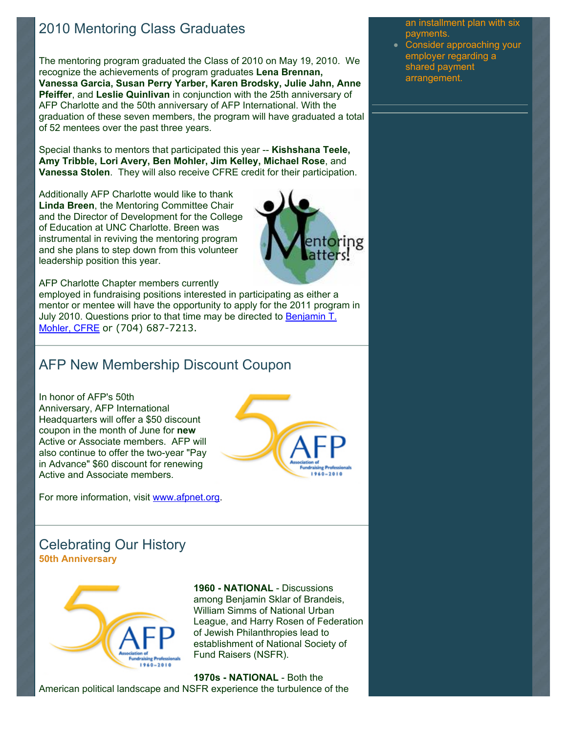### 2010 Mentoring Class Graduates

The mentoring program graduated the Class of 2010 on May 19, 2010. We recognize the achievements of program graduates **Lena Brennan, Vanessa Garcia, Susan Perry Yarber, Karen Brodsky, Julie Jahn, Anne Pfeiffer**, and **Leslie Quinlivan** in conjunction with the 25th anniversary of AFP Charlotte and the 50th anniversary of AFP International. With the graduation of these seven members, the program will have graduated a total of 52 mentees over the past three years.

Special thanks to mentors that participated this year -- **Kishshana Teele, Amy Tribble, Lori Avery, Ben Mohler, Jim Kelley, Michael Rose**, and **Vanessa Stolen**. They will also receive CFRE credit for their participation.

Additionally AFP Charlotte would like to thank **Linda Breen**, the Mentoring Committee Chair and the Director of Development for the College of Education at UNC Charlotte. Breen was instrumental in reviving the mentoring program and she plans to step down from this volunteer leadership position this year.



employed in fundraising positions interested in participating as either a mentor or mentee will have the opportunity to apply for the 2011 program in July 2010. Questions prior to that time may be directed to **Benjamin T.** Mohler, CFRE or (704) 687-7213.

### AFP New Membership Discount Coupon

In honor of AFP's 50th Anniversary, AFP International Headquarters will offer a \$50 discount coupon in the month of June for **new** Active or Associate members. AFP will also continue to offer the two-year "Pay in Advance" \$60 discount for renewing Active and Associate members.

For more information, visit [www.afpnet.org.](http://www.afpnet.org/)

### Celebrating Our History **50th Anniversary**



**1960 - NATIONAL** - Discussions among Benjamin Sklar of Brandeis, William Simms of National Urban League, and Harry Rosen of Federation of Jewish Philanthropies lead to establishment of National Society of Fund Raisers (NSFR).

**1970s - NATIONAL** - Both the American political landscape and NSFR experience the turbulence of the an installment plan with six payments.

Consider approaching your employer regarding a shared payment arrangement.

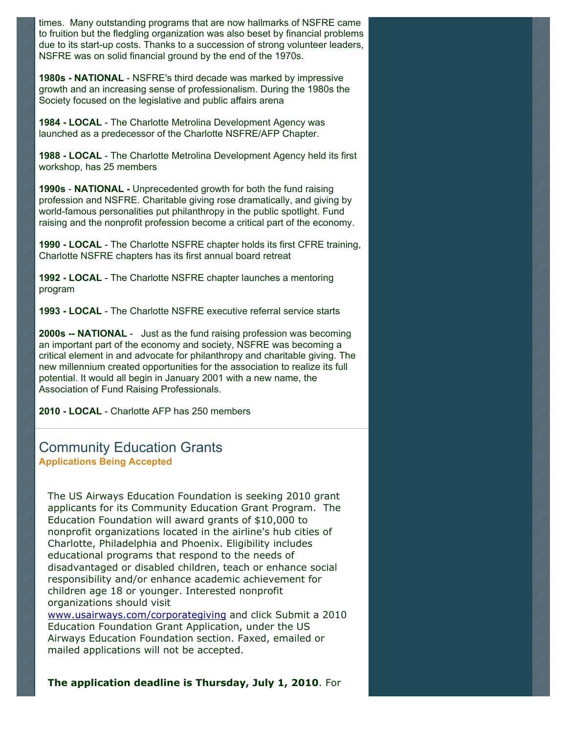times. Many outstanding programs that are now hallmarks of NSFRE came to fruition but the fledgling organization was also beset by financial problems due to its start-up costs. Thanks to a succession of strong volunteer leaders, NSFRE was on solid financial ground by the end of the 1970s.

**1980s - NATIONAL** - NSFRE's third decade was marked by impressive growth and an increasing sense of professionalism. During the 1980s the Society focused on the legislative and public affairs arena

**1984 - LOCAL** - The Charlotte Metrolina Development Agency was launched as a predecessor of the Charlotte NSFRE/AFP Chapter.

**1988 - LOCAL** - The Charlotte Metrolina Development Agency held its first workshop, has 25 members

**1990s** - **NATIONAL -** Unprecedented growth for both the fund raising profession and NSFRE. Charitable giving rose dramatically, and giving by world-famous personalities put philanthropy in the public spotlight. Fund raising and the nonprofit profession become a critical part of the economy.

**1990 - LOCAL** - The Charlotte NSFRE chapter holds its first CFRE training, Charlotte NSFRE chapters has its first annual board retreat

**1992 - LOCAL** - The Charlotte NSFRE chapter launches a mentoring program

**1993 - LOCAL** - The Charlotte NSFRE executive referral service starts

**2000s -- NATIONAL** - Just as the fund raising profession was becoming an important part of the economy and society, NSFRE was becoming a critical element in and advocate for philanthropy and charitable giving. The new millennium created opportunities for the association to realize its full potential. It would all begin in January 2001 with a new name, the Association of Fund Raising Professionals.

**2010 - LOCAL** - Charlotte AFP has 250 members

### Community Education Grants **Applications Being Accepted**

The US Airways Education Foundation is seeking 2010 grant applicants for its Community Education Grant Program. The Education Foundation will award grants of \$10,000 to nonprofit organizations located in the airline's hub cities of Charlotte, Philadelphia and Phoenix. Eligibility includes educational programs that respond to the needs of disadvantaged or disabled children, teach or enhance social responsibility and/or enhance academic achievement for children age 18 or younger. Interested nonprofit organizations should visit

[www.usairways.com/corporategiving](http://www.usairways.com/corporategiving) and click Submit a 2010 Education Foundation Grant Application, under the US Airways Education Foundation section. Faxed, emailed or mailed applications will not be accepted.

**The application deadline is Thursday, July 1, 2010**. For